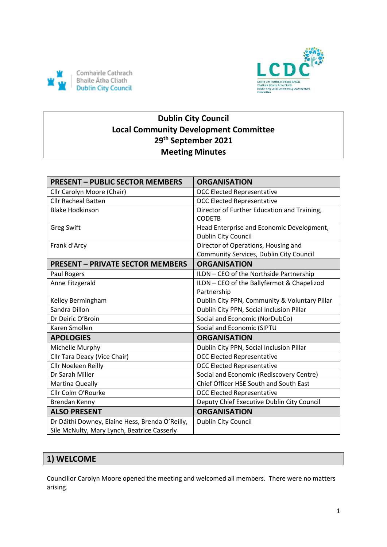



# **Dublin City Council Local Community Development Committee 29th September 2021 Meeting Minutes**

| <b>PRESENT - PUBLIC SECTOR MEMBERS</b>                                                         | <b>ORGANISATION</b>                                              |
|------------------------------------------------------------------------------------------------|------------------------------------------------------------------|
| Cllr Carolyn Moore (Chair)                                                                     | <b>DCC Elected Representative</b>                                |
| <b>Cllr Racheal Batten</b>                                                                     | <b>DCC Elected Representative</b>                                |
| <b>Blake Hodkinson</b>                                                                         | Director of Further Education and Training,<br><b>CODETB</b>     |
| <b>Greg Swift</b>                                                                              | Head Enterprise and Economic Development,<br>Dublin City Council |
| Frank d'Arcy                                                                                   | Director of Operations, Housing and                              |
|                                                                                                | Community Services, Dublin City Council                          |
| <b>PRESENT - PRIVATE SECTOR MEMBERS</b>                                                        | <b>ORGANISATION</b>                                              |
| Paul Rogers                                                                                    | ILDN - CEO of the Northside Partnership                          |
| Anne Fitzgerald                                                                                | ILDN - CEO of the Ballyfermot & Chapelizod                       |
|                                                                                                | Partnership                                                      |
| Kelley Bermingham                                                                              | Dublin City PPN, Community & Voluntary Pillar                    |
| Sandra Dillon                                                                                  | Dublin City PPN, Social Inclusion Pillar                         |
| Dr Deiric O'Broin                                                                              | Social and Economic (NorDubCo)                                   |
| Karen Smollen                                                                                  | Social and Economic (SIPTU                                       |
| <b>APOLOGIES</b>                                                                               | <b>ORGANISATION</b>                                              |
| Michelle Murphy                                                                                | Dublin City PPN, Social Inclusion Pillar                         |
| Cllr Tara Deacy (Vice Chair)                                                                   | <b>DCC Elected Representative</b>                                |
| Cllr Noeleen Reilly                                                                            | <b>DCC Elected Representative</b>                                |
| Dr Sarah Miller                                                                                | Social and Economic (Rediscovery Centre)                         |
| Martina Queally                                                                                | Chief Officer HSE South and South East                           |
| Cllr Colm O'Rourke                                                                             | <b>DCC Elected Representative</b>                                |
| Brendan Kenny                                                                                  | Deputy Chief Executive Dublin City Council                       |
| <b>ALSO PRESENT</b>                                                                            | <b>ORGANISATION</b>                                              |
| Dr Dáithí Downey, Elaine Hess, Brenda O'Reilly,<br>Síle McNulty, Mary Lynch, Beatrice Casserly | Dublin City Council                                              |

# **1) WELCOME**

Councillor Carolyn Moore opened the meeting and welcomed all members. There were no matters arising.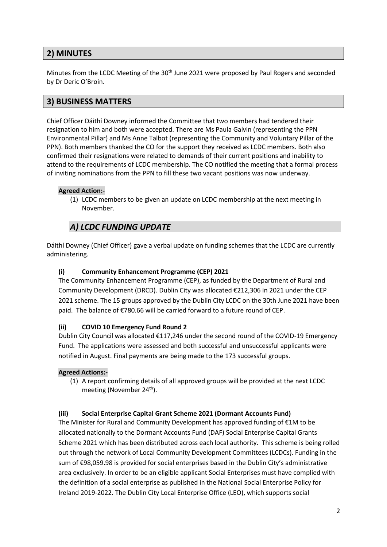## **2) MINUTES**

Minutes from the LCDC Meeting of the 30<sup>th</sup> June 2021 were proposed by Paul Rogers and seconded by Dr Deric O'Broin.

## **3) BUSINESS MATTERS**

Chief Officer Dáithí Downey informed the Committee that two members had tendered their resignation to him and both were accepted. There are Ms Paula Galvin (representing the PPN Environmental Pillar) and Ms Anne Talbot (representing the Community and Voluntary Pillar of the PPN). Both members thanked the CO for the support they received as LCDC members. Both also confirmed their resignations were related to demands of their current positions and inability to attend to the requirements of LCDC membership. The CO notified the meeting that a formal process of inviting nominations from the PPN to fill these two vacant positions was now underway.

#### **Agreed Action:-**

(1) LCDC members to be given an update on LCDC membership at the next meeting in November.

## *A) LCDC FUNDING UPDATE*

Dáithí Downey (Chief Officer) gave a verbal update on funding schemes that the LCDC are currently administering.

#### **(i) Community Enhancement Programme (CEP) 2021**

The Community Enhancement Programme (CEP), as funded by the Department of Rural and Community Development (DRCD). Dublin City was allocated €212,306 in 2021 under the CEP 2021 scheme. The 15 groups approved by the Dublin City LCDC on the 30th June 2021 have been paid. The balance of €780.66 will be carried forward to a future round of CEP.

#### **(ii) COVID 10 Emergency Fund Round 2**

Dublin City Council was allocated €117,246 under the second round of the COVID-19 Emergency Fund. The applications were assessed and both successful and unsuccessful applicants were notified in August. Final payments are being made to the 173 successful groups.

#### **Agreed Actions:-**

(1) A report confirming details of all approved groups will be provided at the next LCDC meeting (November 24<sup>th</sup>).

#### **(iii) Social Enterprise Capital Grant Scheme 2021 (Dormant Accounts Fund)**

The Minister for Rural and Community Development has approved funding of €1M to be allocated nationally to the Dormant Accounts Fund (DAF) Social Enterprise Capital Grants Scheme 2021 which has been distributed across each local authority. This scheme is being rolled out through the network of Local Community Development Committees (LCDCs). Funding in the sum of €98,059.98 is provided for social enterprises based in the Dublin City's administrative area exclusively. In order to be an eligible applicant Social Enterprises must have complied with the definition of a social enterprise as published in the National Social Enterprise Policy for Ireland 2019-2022. The Dublin City Local Enterprise Office (LEO), which supports social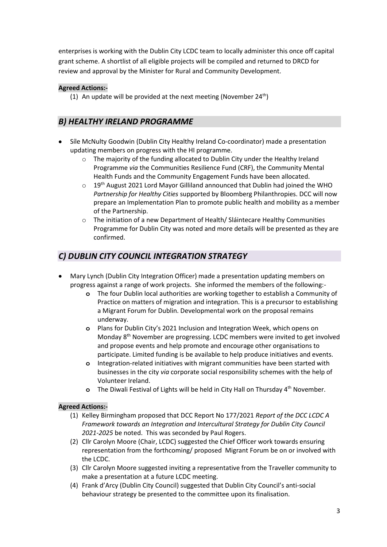enterprises is working with the Dublin City LCDC team to locally administer this once off capital grant scheme. A shortlist of all eligible projects will be compiled and returned to DRCD for review and approval by the Minister for Rural and Community Development.

### **Agreed Actions:-**

(1) An update will be provided at the next meeting (November  $24<sup>th</sup>$ )

### *B) HEALTHY IRELAND PROGRAMME*

- Síle McNulty Goodwin (Dublin City Healthy Ireland Co-coordinator) made a presentation updating members on progress with the HI programme.
	- o The majority of the funding allocated to Dublin City under the Healthy Ireland Programme *via* the Communities Resilience Fund (CRF), the Community Mental Health Funds and the Community Engagement Funds have been allocated.
	- $\circ$  19<sup>th</sup> August 2021 Lord Mayor Gilliland announced that Dublin had joined the WHO *Partnership for Healthy Cities* supported by Bloomberg Philanthropies. DCC will now prepare an Implementation Plan to promote public health and mobility as a member of the Partnership.
	- o The initiation of a new Department of Health/ Sláintecare Healthy Communities Programme for Dublin City was noted and more details will be presented as they are confirmed.

## *C) DUBLIN CITY COUNCIL INTEGRATION STRATEGY*

- Mary Lynch (Dublin City Integration Officer) made a presentation updating members on progress against a range of work projects. She informed the members of the following:
	- **o** The four Dublin local authorities are working together to establish a Community of Practice on matters of migration and integration. This is a precursor to establishing a Migrant Forum for Dublin. Developmental work on the proposal remains underway.
	- **o** Plans for Dublin City's 2021 Inclusion and Integration Week, which opens on Monday 8th November are progressing. LCDC members were invited to get involved and propose events and help promote and encourage other organisations to participate. Limited funding is be available to help produce initiatives and events.
	- **o** Integration-related initiatives with migrant communities have been started with businesses in the city *via* corporate social responsibility schemes with the help of Volunteer Ireland.
	- **o** The Diwali Festival of Lights will be held in City Hall on Thursday 4<sup>th</sup> November.

#### **Agreed Actions:-**

- (1) Kelley Birmingham proposed that DCC Report No 177/2021 *Report of the DCC LCDC A Framework towards an Integration and Intercultural Strategy for Dublin City Council 2021-2025* be noted. This was seconded by Paul Rogers.
- (2) Cllr Carolyn Moore (Chair, LCDC) suggested the Chief Officer work towards ensuring representation from the forthcoming/ proposed Migrant Forum be on or involved with the LCDC.
- (3) Cllr Carolyn Moore suggested inviting a representative from the Traveller community to make a presentation at a future LCDC meeting.
- (4) Frank d'Arcy (Dublin City Council) suggested that Dublin City Council's anti-social behaviour strategy be presented to the committee upon its finalisation.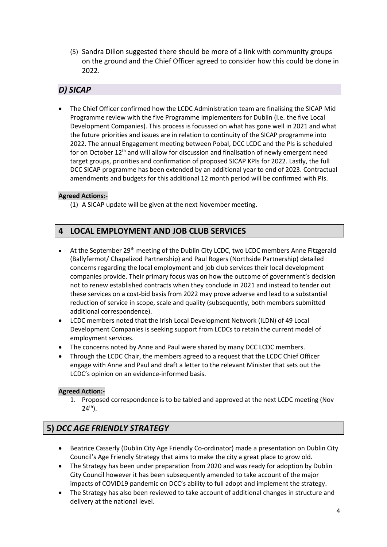(5) Sandra Dillon suggested there should be more of a link with community groups on the ground and the Chief Officer agreed to consider how this could be done in 2022.

## *D) SICAP*

 The Chief Officer confirmed how the LCDC Administration team are finalising the SICAP Mid Programme review with the five Programme Implementers for Dublin (i.e. the five Local Development Companies). This process is focussed on what has gone well in 2021 and what the future priorities and issues are in relation to continuity of the SICAP programme into 2022. The annual Engagement meeting between Pobal, DCC LCDC and the PIs is scheduled for on October 12<sup>th</sup> and will allow for discussion and finalisation of newly emergent need target groups, priorities and confirmation of proposed SICAP KPIs for 2022. Lastly, the full DCC SICAP programme has been extended by an additional year to end of 2023. Contractual amendments and budgets for this additional 12 month period will be confirmed with PIs.

#### **Agreed Actions:-**

(1) A SICAP update will be given at the next November meeting.

### **4 LOCAL EMPLOYMENT AND JOB CLUB SERVICES**

- At the September 29<sup>th</sup> meeting of the Dublin City LCDC, two LCDC members Anne Fitzgerald (Ballyfermot/ Chapelizod Partnership) and Paul Rogers (Northside Partnership) detailed concerns regarding the local employment and job club services their local development companies provide. Their primary focus was on how the outcome of government's decision not to renew established contracts when they conclude in 2021 and instead to tender out these services on a cost-bid basis from 2022 may prove adverse and lead to a substantial reduction of service in scope, scale and quality (subsequently, both members submitted additional correspondence).
- LCDC members noted that the Irish Local Development Network (ILDN) of 49 Local Development Companies is seeking support from LCDCs to retain the current model of employment services.
- The concerns noted by Anne and Paul were shared by many DCC LCDC members.
- Through the LCDC Chair, the members agreed to a request that the LCDC Chief Officer engage with Anne and Paul and draft a letter to the relevant Minister that sets out the LCDC's opinion on an evidence-informed basis.

#### **Agreed Action:-**

1. Proposed correspondence is to be tabled and approved at the next LCDC meeting (Nov  $24^{th}$ ).

### **5)** *DCC AGE FRIENDLY STRATEGY*

- Beatrice Casserly (Dublin City Age Friendly Co-ordinator) made a presentation on Dublin City Council's Age Friendly Strategy that aims to make the city a great place to grow old.
- The Strategy has been under preparation from 2020 and was ready for adoption by Dublin City Council however it has been subsequently amended to take account of the major impacts of COVID19 pandemic on DCC's ability to full adopt and implement the strategy.
- The Strategy has also been reviewed to take account of additional changes in structure and delivery at the national level.